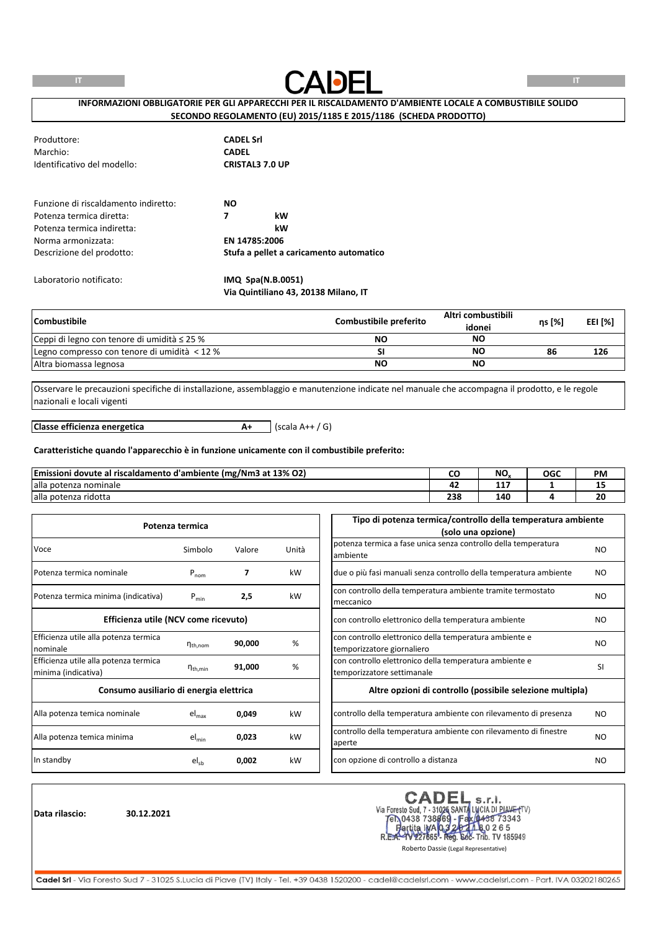

# **INFORMAZIONI OBBLIGATORIE PER GLI APPARECCHI PER IL RISCALDAMENTO D'AMBIENTE LOCALE A COMBUSTIBILE SOLIDO SECONDO REGOLAMENTO (EU) 2015/1185 E 2015/1186 (SCHEDA PRODOTTO)**

| Produttore:<br>Marchio:<br>Identificativo del modello: | <b>CADEL Srl</b><br><b>CADEL</b><br><b>CRISTAL3 7.0 UP</b> |
|--------------------------------------------------------|------------------------------------------------------------|
| Funzione di riscaldamento indiretto:                   | <b>NO</b>                                                  |
| Potenza termica diretta:                               | kW<br>7                                                    |
| Potenza termica indiretta:                             | kW                                                         |
| Norma armonizzata:                                     | EN 14785:2006                                              |
| Descrizione del prodotto:                              | Stufa a pellet a caricamento automatico                    |
| Laboratorio notificato:                                | $IMQ$ Spa $(N.B.0051)$                                     |

**Via Quintiliano 43, 20138 Milano, IT**

| <b>Combustibile</b>                              | Combustibile preferito | Altri combustibili<br>idonei | ns [%] | <b>EEI [%]</b> |
|--------------------------------------------------|------------------------|------------------------------|--------|----------------|
| Ceppi di legno con tenore di umidità $\leq$ 25 % | NΟ                     | <b>NO</b>                    |        |                |
| Legno compresso con tenore di umidità < 12 %     |                        | ΝO                           | 86     | 126            |
| Altra biomassa legnosa                           | NΟ                     | <b>NO</b>                    |        |                |

Osservare le precauzioni specifiche di installazione, assemblaggio e manutenzione indicate nel manuale che accompagna il prodotto, e le regole nazionali e locali vigenti

**A+** (scala A++ / G) **Classe efficienza energetica**

#### **Caratteristiche quando l'apparecchio è in funzione unicamente con il combustibile preferito:**

| Emissioni dovute al<br>' riscaldamento d'ambiente (mg/Nm3 at 13% O2) | w          | NO,    | OGC | <b>PM</b> |
|----------------------------------------------------------------------|------------|--------|-----|-----------|
| alla potenza nominale                                                | 74         | .<br>. |     | --        |
| alla potenza ridotta                                                 | ววด<br>430 | 140    |     | 20        |

|                                                              | Potenza termica     |        |       | Tipo di potenza termica/controllo della temperatura ambiente<br>(solo una opzione)   |                |
|--------------------------------------------------------------|---------------------|--------|-------|--------------------------------------------------------------------------------------|----------------|
| Voce                                                         | Simbolo             | Valore | Unità | potenza termica a fase unica senza controllo della temperatura<br>ambiente           | NO.            |
| Potenza termica nominale                                     | $P_{nom}$           |        | kW    | due o più fasi manuali senza controllo della temperatura ambiente                    | NO.            |
| Potenza termica minima (indicativa)                          | $P_{min}$           | 2,5    | kW    | con controllo della temperatura ambiente tramite termostato<br>meccanico             | NO.            |
| Efficienza utile (NCV come ricevuto)                         |                     |        |       | con controllo elettronico della temperatura ambiente                                 | N <sub>O</sub> |
| Efficienza utile alla potenza termica<br>nominale            | $n_{th,nom}$        | 90,000 | %     | con controllo elettronico della temperatura ambiente e<br>temporizzatore giornaliero | NO.            |
| Efficienza utile alla potenza termica<br>minima (indicativa) | $n_{\text{th,min}}$ | 91,000 | %     | con controllo elettronico della temperatura ambiente e<br>temporizzatore settimanale | <b>SI</b>      |
| Consumo ausiliario di energia elettrica                      |                     |        |       | Altre opzioni di controllo (possibile selezione multipla)                            |                |
| Alla potenza temica nominale                                 | $el_{\text{max}}$   | 0,049  | kW    | controllo della temperatura ambiente con rilevamento di presenza                     | NO.            |
| Alla potenza temica minima                                   | $el_{min}$          | 0,023  | kW    | controllo della temperatura ambiente con rilevamento di finestre<br>aperte           | NO.            |
| In standby                                                   | $el_{sb}$           | 0,002  | kW    | con opzione di controllo a distanza                                                  | NO.            |

**Data rilascio: 30.12.2021**

CADEL S.r.I.<br>Via Foresto Sud, 7 - 31026 SANTA LUCIA DI PIAVE (TV)<br>FR.0438 738669 - Fax (0438 73343<br>R.E.A.- 1V227665 - Reg. 602- Trib. TV 185949<br>Roberto Dassie (Legal Representative) **CADEL**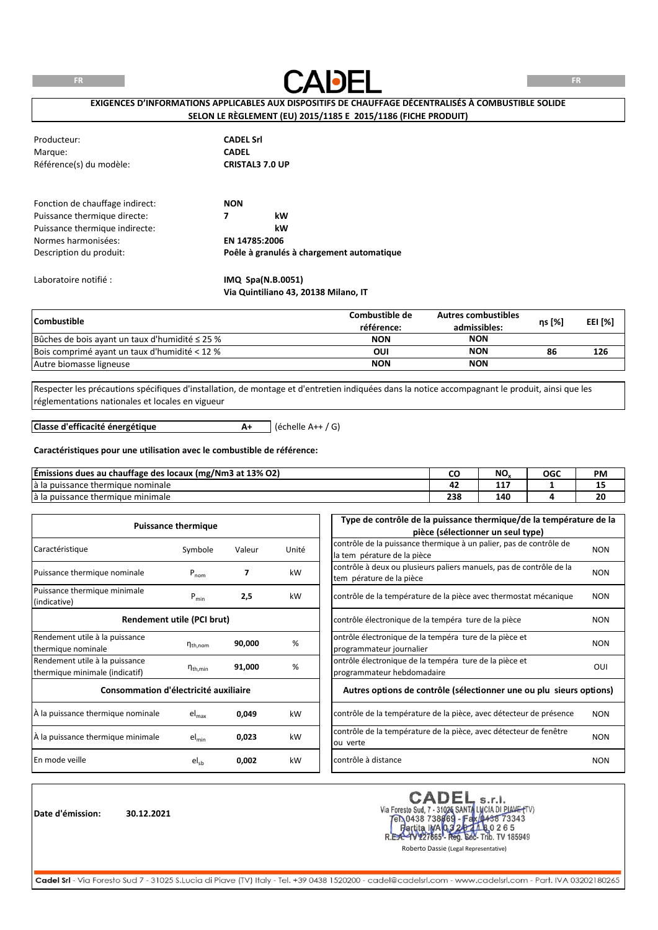**FR**



**FR**

# **EXIGENCES D'INFORMATIONS APPLICABLES AUX DISPOSITIFS DE CHAUFFAGE DÉCENTRALISÉS À COMBUSTIBLE SOLIDE SELON LE RÈGLEMENT (EU) 2015/1185 E 2015/1186 (FICHE PRODUIT)**

| Producteur:                     | <b>CADEL Srl</b>                          |
|---------------------------------|-------------------------------------------|
| Marque:                         | <b>CADEL</b>                              |
| Référence(s) du modèle:         | <b>CRISTAL3 7.0 UP</b>                    |
| Fonction de chauffage indirect: | <b>NON</b>                                |
| Puissance thermique directe:    | kW<br>7                                   |
| Puissance thermique indirecte:  | kW                                        |
| Normes harmonisées:             | EN 14785:2006                             |
| Description du produit:         | Poêle à granulés à chargement automatique |
| Laboratoire notifié :           | IMQ Spa(N.B.0051)                         |

**Via Quintiliano 43, 20138 Milano, IT**

| <b>Combustible</b>                                  | Combustible de<br>référence: | <b>Autres combustibles</b><br>admissibles: | ηs [%] | <b>EEI [%]</b> |
|-----------------------------------------------------|------------------------------|--------------------------------------------|--------|----------------|
| Bûches de bois ayant un taux d'humidité $\leq$ 25 % | <b>NON</b>                   | <b>NON</b>                                 |        |                |
| Bois comprimé ayant un taux d'humidité < 12 %       | OUI                          | <b>NON</b>                                 | 86     | 126            |
| Autre biomasse ligneuse                             | <b>NON</b>                   | <b>NON</b>                                 |        |                |

Respecter les précautions spécifiques d'installation, de montage et d'entretien indiquées dans la notice accompagnant le produit, ainsi que les réglementations nationales et locales en vigueur

**Classe d'efficacité énergétique**

**A+** (échelle A++ / G)

#### **Caractéristiques pour une utilisation avec le combustible de référence:**

| Emissions dues au chauffage des locaux (mg/Nm3 at 13% O2) |     | NΟ      | OGC | PM |
|-----------------------------------------------------------|-----|---------|-----|----|
| e thermique nominale<br>a la puissance i                  | . . | --<br>. |     | -- |
| e thermique minimale<br>i puissance <sup>.</sup><br>d Id  | 238 | 140     |     | ZU |

|                                       | <b>Puissance thermique</b> |        |       | Type de contrôle de la puissance thermique/de la température de la            |            |
|---------------------------------------|----------------------------|--------|-------|-------------------------------------------------------------------------------|------------|
|                                       |                            |        |       | pièce (sélectionner un seul type)                                             |            |
| Caractéristique                       | Symbole                    |        | Unité | contrôle de la puissance thermique à un palier, pas de contrôle de            | <b>NON</b> |
|                                       |                            | Valeur |       | la tem pérature de la pièce                                                   |            |
| Puissance thermique nominale          | $P_{nom}$                  |        | kW    | contrôle à deux ou plusieurs paliers manuels, pas de contrôle de la           | <b>NON</b> |
|                                       |                            |        |       | tem pérature de la pièce                                                      |            |
| Puissance thermique minimale          | $P_{min}$                  | 2,5    | kW    | contrôle de la température de la pièce avec thermostat mécanique              | <b>NON</b> |
| (indicative)                          |                            |        |       |                                                                               |            |
|                                       | Rendement utile (PCI brut) |        |       | contrôle électronique de la tempéra ture de la pièce                          | <b>NON</b> |
| Rendement utile à la puissance        |                            |        |       | ontrôle électronique de la tempéra ture de la pièce et                        |            |
| thermique nominale                    | $n_{\text{th}$ , nom       | 90,000 | %     | programmateur journalier                                                      | <b>NON</b> |
| Rendement utile à la puissance        |                            |        |       | ontrôle électronique de la tempéra ture de la pièce et                        |            |
| thermique minimale (indicatif)        | $n_{th,min}$               | 91,000 | %     | programmateur hebdomadaire                                                    | OUI        |
| Consommation d'électricité auxiliaire |                            |        |       | Autres options de contrôle (sélectionner une ou plu sieurs options)           |            |
| À la puissance thermique nominale     | el <sub>max</sub>          | 0,049  | kW    | contrôle de la température de la pièce, avec détecteur de présence            | <b>NON</b> |
| À la puissance thermique minimale     | $el_{min}$                 | 0,023  | kW    | contrôle de la température de la pièce, avec détecteur de fenêtre<br>ou verte | <b>NON</b> |
|                                       |                            |        |       |                                                                               |            |
| En mode veille                        | $el_{sb}$                  | 0,002  | kW    | contrôle à distance                                                           | <b>NON</b> |

**Date d'émission: 30.12.2021**

Via Foresto Sud, 7 - 31026 SANTA LUCIA DI PIANE (TV)<br>
TEN 0438 738669 - Fax 0438 73343<br>
Partita IMA 0.3 20 20 20 26 5<br>
REA-1V227665 - Reg. 668- Trib. TV 185949 **CADEI** 

Roberto Dassie (Legal Representative)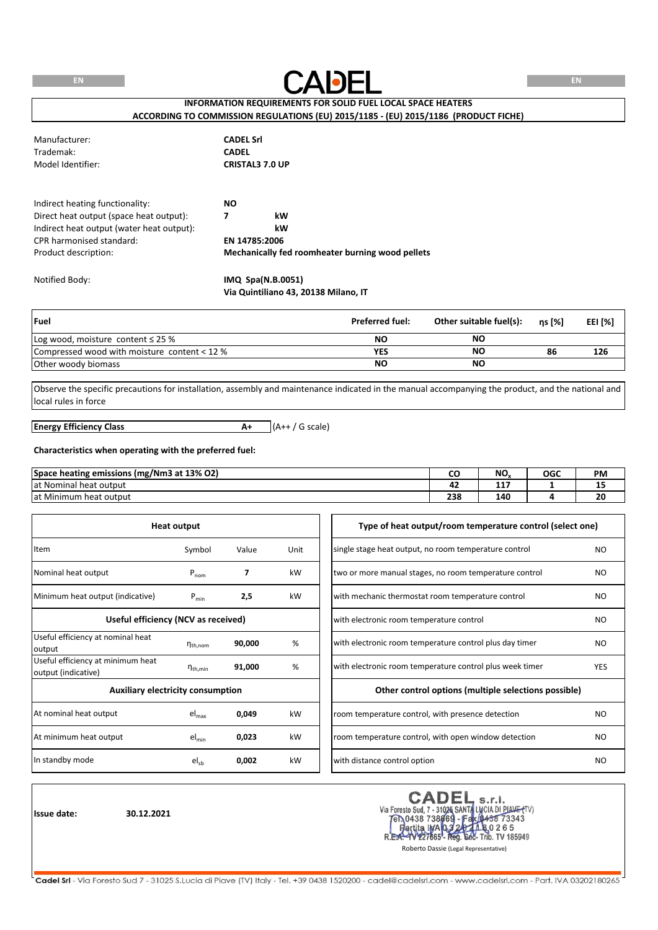

# **INFORMATION REQUIREMENTS FOR SOLID FUEL LOCAL SPACE HEATERS ACCORDING TO COMMISSION REGULATIONS (EU) 2015/1185 - (EU) 2015/1186 (PRODUCT FICHE)**

| Manufacturer:     | <b>CADEL Srl</b>       |
|-------------------|------------------------|
| Trademak:         | <b>CADEL</b>           |
| Model Identifier: | <b>CRISTAL3 7.0 UP</b> |

Indirect heating functionality: **NO no** Direct heat output (space heat output): **7 kW** Indirect heat output (water heat output): **kW** CPR harmonised standard: **EN 14785:2006 Mechanically fed roomheater burning wood pellets** Product description:

Notified Body: **IMQ Spa(N.B.0051) Via Quintiliano 43, 20138 Milano, IT**

| Fuel                                         | <b>Preferred fuel:</b> | Other suitable fuel(s): | ns [%] | EEI [%] |
|----------------------------------------------|------------------------|-------------------------|--------|---------|
| Log wood, moisture content $\leq$ 25 %       | NO                     | ΝC                      |        |         |
| Compressed wood with moisture content < 12 % | YES                    | ΝC                      | 86     | 126     |
| Other woody biomass                          | NΟ                     | NO                      |        |         |

Observe the specific precautions for installation, assembly and maintenance indicated in the manual accompanying the product, and the national and local rules in force

**A+** (A++ / G scale) **Energy Efficiency Class**

#### **Characteristics when operating with the preferred fuel:**

| ? emissions (mg/Nm3 at 13% O2)<br><b>Space heating</b><br>o |      | NO.    | OGC | <b>PM</b> |
|-------------------------------------------------------------|------|--------|-----|-----------|
| lat Nominal<br>I heat output                                | - 14 | .<br>. |     | --        |
| at Minimum<br>⊦heat output                                  | 238  | 140    |     | 20        |

|                                                          | <b>Heat output</b>     |                                                 |      | Type of heat output/room temperature control (select one)              |  |
|----------------------------------------------------------|------------------------|-------------------------------------------------|------|------------------------------------------------------------------------|--|
| Item                                                     | Symbol                 | Value                                           | Unit | single stage heat output, no room temperature control<br>NO.           |  |
| Nominal heat output                                      | $P_{nom}$              | $\overline{ }$                                  | kW   | two or more manual stages, no room temperature control<br>NO.          |  |
| Minimum heat output (indicative)                         | $P_{min}$              | 2,5                                             | kW   | with mechanic thermostat room temperature control<br>N <sub>O</sub>    |  |
| Useful efficiency (NCV as received)                      |                        | with electronic room temperature control<br>NO. |      |                                                                        |  |
| Useful efficiency at nominal heat<br>output              | $\eta_{th,nom}$        | 90,000                                          | %    | with electronic room temperature control plus day timer<br>NO.         |  |
| Useful efficiency at minimum heat<br>output (indicative) | $\eta_{\text{th,min}}$ | 91,000                                          | %    | with electronic room temperature control plus week timer<br><b>YES</b> |  |
| <b>Auxiliary electricity consumption</b>                 |                        |                                                 |      | Other control options (multiple selections possible)                   |  |
| At nominal heat output                                   | $el_{\text{max}}$      | 0,049                                           | kW   | room temperature control, with presence detection<br>NO.               |  |
| At minimum heat output                                   | $el_{min}$             | 0,023                                           | kW   | room temperature control, with open window detection<br>NO.            |  |
| In standby mode                                          | $el_{sb}$              | 0,002                                           | kW   | with distance control option<br>NO.                                    |  |

**Issue date: 30.12.2021**

r :ADE s.r.l. Via Foresto Sud, 7 - 31026 SANTA LUCIA DI PIAVE (TV)<br>TEN 0438 738869 - Fax 0438 73343 **b** The 0 2 6 5<br>Sec- Trib. TV 185949 artita **IMA**Q3 227665 - Reg. R.E

Roberto Dassie (Legal Representative)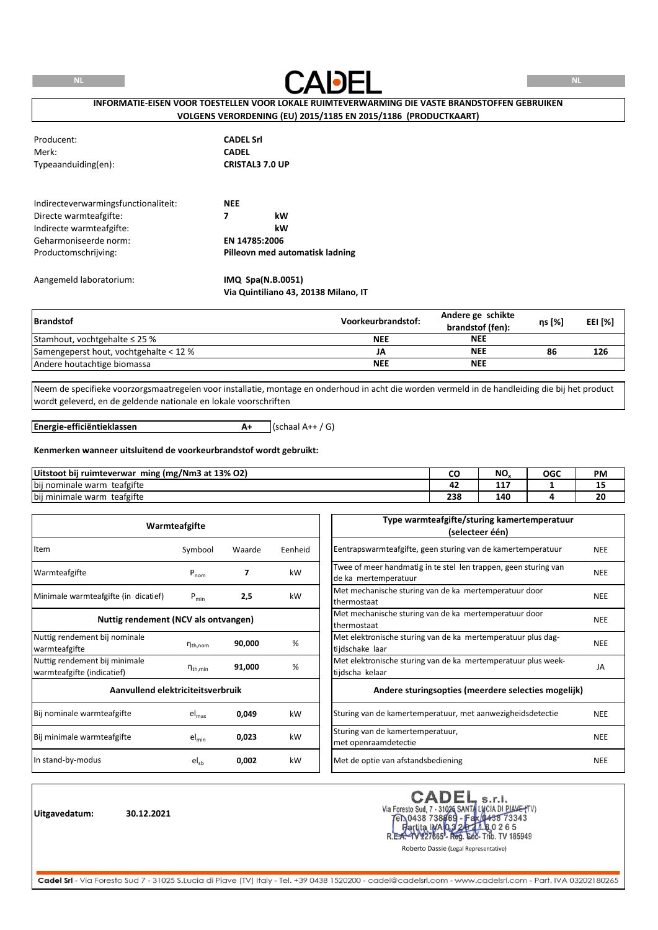**NL**



# **INFORMATIE-EISEN VOOR TOESTELLEN VOOR LOKALE RUIMTEVERWARMING DIE VASTE BRANDSTOFFEN GEBRUIKEN VOLGENS VERORDENING (EU) 2015/1185 EN 2015/1186 (PRODUCTKAART)**

| Producent:<br>Merk:<br>Typeaanduiding(en):                     | <b>CADEL Srl</b><br><b>CADEL</b><br><b>CRISTAL3 7.0 UP</b> |
|----------------------------------------------------------------|------------------------------------------------------------|
| Indirecteverwarmingsfunctionaliteit:<br>Directe warmteafgifte: | <b>NEE</b><br>7<br>kW                                      |
| Indirecte warmteafgifte:                                       | kW                                                         |
| Geharmoniseerde norm:                                          | EN 14785:2006                                              |
| Productomschrijving:                                           | Pilleovn med automatisk ladning                            |
| Aangemeld laboratorium:                                        | IMQ Spa(N.B.0051)                                          |

**Via Quintiliano 43, 20138 Milano, IT**

| <b>Brandstof</b>                       | Voorkeurbrandstof: | Andere ge schikte<br>brandstof (fen): | ղs [%] | EEI [%] |
|----------------------------------------|--------------------|---------------------------------------|--------|---------|
| Stamhout, vochtgehalte $\leq$ 25 %     | <b>NEE</b>         | <b>NEE</b>                            |        |         |
| Samengeperst hout, vochtgehalte < 12 % | JA                 | <b>NEE</b>                            | 86     | 126     |
| Andere houtachtige biomassa            | <b>NEE</b>         | <b>NEE</b>                            |        |         |

Neem de specifieke voorzorgsmaatregelen voor installatie, montage en onderhoud in acht die worden vermeld in de handleiding die bij het product wordt geleverd, en de geldende nationale en lokale voorschriften

**Energie-efficiëntieklassen**

 $A+$  (schaal  $A++$  / G)

#### **Kenmerken wanneer uitsluitend de voorkeurbrandstof wordt gebruikt:**

| ming (mg/Nm3 at 13% O2)<br>Uitstoot bii<br>i ruimteverwar |            | NIC<br>טיי | OGC | PM |
|-----------------------------------------------------------|------------|------------|-----|----|
| teafgifte<br>bij nominale warm                            | . .        | ---<br>.   |     | -- |
| teafgifte<br>bij minimale<br>warm                         | າາດ<br>-50 | 140        |     | δU |

|                                                             | Warmteafgifte          |        |         | Type warmteafgifte/sturing kamertemperatuur<br>(selecteer één)                          |            |
|-------------------------------------------------------------|------------------------|--------|---------|-----------------------------------------------------------------------------------------|------------|
| Item                                                        | Symbool                | Waarde | Eenheid | Eentrapswarmteafgifte, geen sturing van de kamertemperatuur                             | <b>NEE</b> |
| Warmteafgifte                                               | $P_{nom}$              | 7      | kW      | Twee of meer handmatig in te stel len trappen, geen sturing van<br>de ka mertemperatuur | <b>NEE</b> |
| Minimale warmteafgifte (in dicatief)                        | $P_{min}$              | 2,5    | kW      | Met mechanische sturing van de ka mertemperatuur door<br>thermostaat                    | <b>NEE</b> |
| Nuttig rendement (NCV als ontvangen)                        |                        |        |         | Met mechanische sturing van de ka mertemperatuur door<br>thermostaat                    | <b>NEE</b> |
| Nuttig rendement bij nominale<br>warmteafgifte              | $n_{\text{th}$ , nom   | 90,000 | %       | Met elektronische sturing van de ka mertemperatuur plus dag-<br>tijdschake laar         | <b>NEE</b> |
| Nuttig rendement bij minimale<br>warmteafgifte (indicatief) | $\eta_{\text{th,min}}$ | 91,000 | %       | Met elektronische sturing van de ka mertemperatuur plus week-<br>tijdscha kelaar        | JA         |
| Aanvullend elektriciteitsverbruik                           |                        |        |         | Andere sturingsopties (meerdere selecties mogelijk)                                     |            |
| Bij nominale warmteafgifte                                  | $el_{max}$             | 0,049  | kW      | Sturing van de kamertemperatuur, met aanwezigheidsdetectie                              | <b>NEE</b> |
| Bij minimale warmteafgifte                                  | $el_{min}$             | 0,023  | kW      | Sturing van de kamertemperatuur,<br>met openraamdetectie                                | <b>NEE</b> |
| In stand-by-modus                                           | $el_{sb}$              | 0,002  | kW      | Met de optie van afstandsbediening                                                      | <b>NEE</b> |

**Uitgavedatum: 30.12.2021**

CADEL s.r.l.<br>Via Foresto Sud, 7 - 31026 SANTA LUCIA DI PIAVE (TV)<br>FR.0438 738669 - Fax (0438 73343<br>R.E.A.- W227665 - Reg. 506- Trib. TV 185949<br>Roberto Dassie (Legal Representative) **CADEL**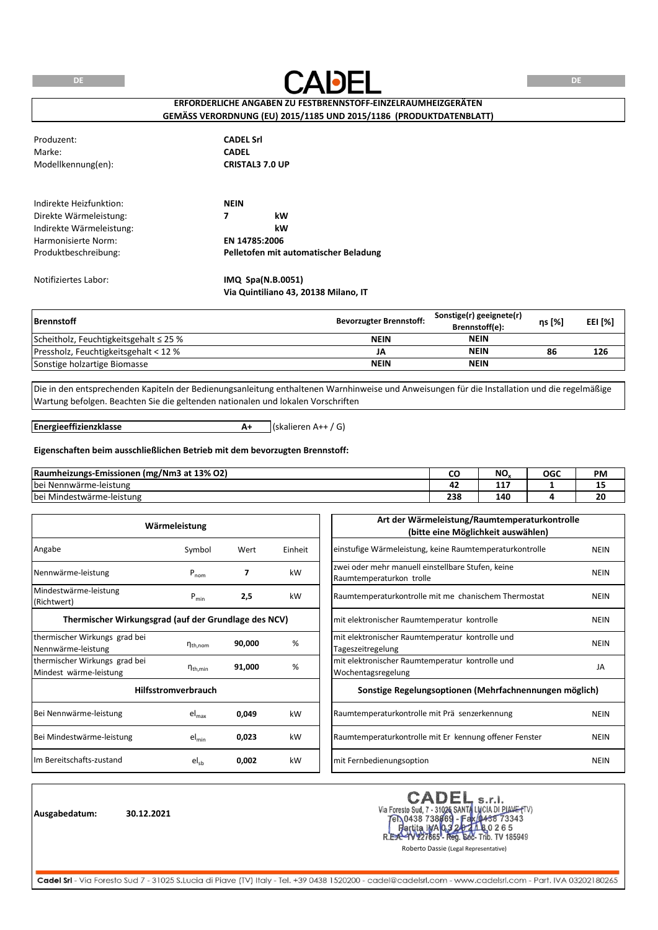**DE**



**DE**

# **ERFORDERLICHE ANGABEN ZU FESTBRENNSTOFF-EINZELRAUMHEIZGERÄTEN GEMÄSS VERORDNUNG (EU) 2015/1185 UND 2015/1186 (PRODUKTDATENBLATT)**

| Produzent:               | <b>CADEL Srl</b>                      |
|--------------------------|---------------------------------------|
| Marke:                   | <b>CADEL</b>                          |
| Modellkennung(en):       | <b>CRISTAL3 7.0 UP</b>                |
|                          |                                       |
| Indirekte Heizfunktion:  | <b>NEIN</b>                           |
| Direkte Wärmeleistung:   | kW<br>7                               |
| Indirekte Wärmeleistung: | kW                                    |
| Harmonisierte Norm:      | EN 14785:2006                         |
| Produktbeschreibung:     | Pelletofen mit automatischer Beladung |
| Notifiziertes Labor:     | IMQ Spa(N.B.0051)                     |
|                          | Via Quintiliano 43, 20138 Milano, IT  |

| <b>Brennstoff</b>                           | <b>Bevorzugter Brennstoff:</b> | Sonstige(r) geeignete(r)<br>Brennstoff(e): | ns [%] | <b>EEI [%]</b> |
|---------------------------------------------|--------------------------------|--------------------------------------------|--------|----------------|
| Scheitholz, Feuchtigkeitsgehalt $\leq$ 25 % | <b>NEIN</b>                    | <b>NEIN</b>                                |        |                |
| Pressholz, Feuchtigkeitsgehalt < 12 %       | JA                             | <b>NEIN</b>                                | 86     | 126            |
| Sonstige holzartige Biomasse                | <b>NEIN</b>                    | <b>NEIN</b>                                |        |                |

Die in den entsprechenden Kapiteln der Bedienungsanleitung enthaltenen Warnhinweise und Anweisungen für die Installation und die regelmäßige Wartung befolgen. Beachten Sie die geltenden nationalen und lokalen Vorschriften

**Energieeffizienzklasse**

**A+** (skalieren A++ / G)

#### **Eigenschaften beim ausschließlichen Betrieb mit dem bevorzugten Brennstoff:**

| (mg/Nm3 at 13% O2)<br> Raumheizungs-Emissionen                |            | NO.    | <b>OGC</b> | <b>PM</b> |
|---------------------------------------------------------------|------------|--------|------------|-----------|
| <b>bei</b><br>.i Nennwärme-leistung                           | - -        | .<br>. |            | --        |
| $\cdots$<br>$\cdots$<br><b>bei</b><br>i Mindestwärme-leistung | 330<br>محد | 140    |            | 20        |

|                                                         | Wärmeleistung              |        |         | Art der Wärmeleistung/Raumtemperaturkontrolle<br>(bitte eine Möglichkeit auswählen) |             |
|---------------------------------------------------------|----------------------------|--------|---------|-------------------------------------------------------------------------------------|-------------|
| Angabe                                                  | Symbol                     | Wert   | Einheit | einstufige Wärmeleistung, keine Raumtemperaturkontrolle                             | <b>NEIN</b> |
| Nennwärme-leistung                                      | $P_{nom}$                  | 7      | kW      | zwei oder mehr manuell einstellbare Stufen, keine<br>Raumtemperaturkon trolle       | <b>NEIN</b> |
| Mindestwärme-leistung<br>(Richtwert)                    | $P_{min}$                  | 2,5    | kW      | Raumtemperaturkontrolle mit me chanischem Thermostat                                | <b>NEIN</b> |
| Thermischer Wirkungsgrad (auf der Grundlage des NCV)    |                            |        |         | mit elektronischer Raumtemperatur kontrolle                                         | <b>NEIN</b> |
| thermischer Wirkungs grad bei<br>Nennwärme-leistung     | $n_{th,nom}$               | 90,000 | %       | mit elektronischer Raumtemperatur kontrolle und<br>Tageszeitregelung                | <b>NEIN</b> |
| thermischer Wirkungs grad bei<br>Mindest wärme-leistung | $\eta_{\text{th,min}}$     | 91,000 | %       | mit elektronischer Raumtemperatur kontrolle und<br>Wochentagsregelung               | JA          |
|                                                         | <b>Hilfsstromverbrauch</b> |        |         | Sonstige Regelungsoptionen (Mehrfachnennungen möglich)                              |             |
| Bei Nennwärme-leistung                                  | $el_{max}$                 | 0,049  | kW      | Raumtemperaturkontrolle mit Prä senzerkennung                                       | <b>NEIN</b> |
| Bei Mindestwärme-leistung                               | $el_{min}$                 | 0,023  | kW      | Raumtemperaturkontrolle mit Er kennung offener Fenster                              | <b>NEIN</b> |
| Im Bereitschafts-zustand                                | $el_{sb}$                  | 0,002  | kW      | mit Fernbedienungsoption                                                            | <b>NEIN</b> |

**Ausgabedatum: 30.12.2021**

CADEL s.r.l.<br>Via Foresto Sud, 7 - 31026 SANTA LUCIA DI PIAVE (TV)<br>FR.0438 738669 - Fax (1458 73343<br>R.E.R. W227655 - Reg. 602- Trib. TV 185949<br>Roberto Dassie (Legal Representative)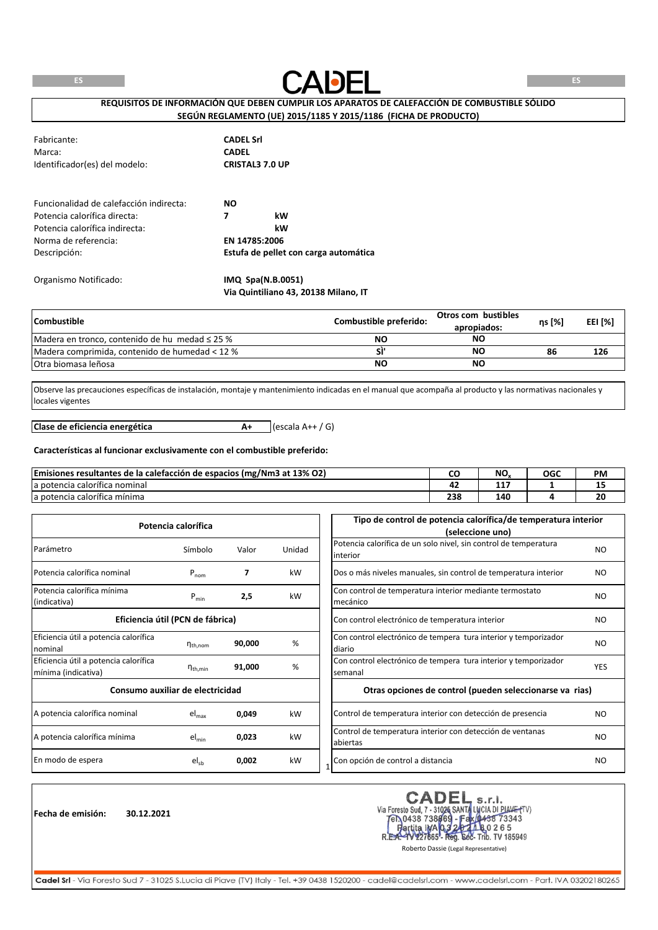

**REQUISITOS DE INFORMACIÓN QUE DEBEN CUMPLIR LOS APARATOS DE CALEFACCIÓN DE COMBUSTIBLE SÓLIDO SEGÚN REGLAMENTO (UE) 2015/1185 Y 2015/1186 (FICHA DE PRODUCTO)**

| Fabricante:<br>Marca:<br>Identificador(es) del modelo: | <b>CADEL Srl</b><br><b>CADEL</b><br><b>CRISTAL3 7.0 UP</b> |
|--------------------------------------------------------|------------------------------------------------------------|
| Funcionalidad de calefacción indirecta:                | NO.                                                        |
| Potencia calorífica directa:                           | 7<br>kW                                                    |
| Potencia calorífica indirecta:                         | kW                                                         |
| Norma de referencia:                                   | EN 14785:2006                                              |
| Descripción:                                           | Estufa de pellet con carga automática                      |
| Organismo Notificado:                                  | IMQ Spa(N.B.0051)                                          |

**Via Quintiliano 43, 20138 Milano, IT**

| <b>Combustible</b>                                  | Combustible preferido: | Otros com bustibles<br>apropiados: | ns [%] | EEI [%] |
|-----------------------------------------------------|------------------------|------------------------------------|--------|---------|
| Madera en tronco, contenido de hu medad $\leq$ 25 % | NΟ                     | NΟ                                 |        |         |
| Madera comprimida, contenido de humedad < 12 %      |                        | NΟ                                 | 86     | 126     |
| <b>Otra biomasa leñosa</b>                          | NΟ                     | NΟ                                 |        |         |

Observe las precauciones específicas de instalación, montaje y mantenimiento indicadas en el manual que acompaña al producto y las normativas nacionales y locales vigentes

**A+** (escala A++ / G) **Clase de eficiencia energética**

#### **Características al funcionar exclusivamente con el combustible preferido:**

| s resultantes de la calefacción de espacios (mg/Nm3 at 13% O2)<br><b>Emisiones</b> | ີ   | NO.      | OGC | <b>PM</b> |
|------------------------------------------------------------------------------------|-----|----------|-----|-----------|
| $\overline{\phantom{a}}$<br>la potencia calorífica nominal                         | . . | .<br>. . |     | --        |
| $\cdots$<br>la potencia calorífica mínima                                          | 238 | 40۔      |     | 20        |

|                                                              | Potencia calorífica  |        |        | Tipo de control de potencia calorífica/de temperatura interior<br>(seleccione uno) |                |
|--------------------------------------------------------------|----------------------|--------|--------|------------------------------------------------------------------------------------|----------------|
| Parámetro                                                    | Símbolo              | Valor  | Unidad | Potencia calorífica de un solo nivel, sin control de temperatura<br>linterior      | N <sub>O</sub> |
| Potencia calorífica nominal                                  | $P_{nom}$            | 7      | kW     | Dos o más niveles manuales, sin control de temperatura interior                    | NO.            |
| Potencia calorífica mínima<br>(indicativa)                   | $P_{min}$            | 2,5    | kW     | Con control de temperatura interior mediante termostato<br>mecánico                | NO.            |
| Eficiencia útil (PCN de fábrica)                             |                      |        |        | Con control electrónico de temperatura interior                                    | N <sub>O</sub> |
| Eficiencia útil a potencia calorífica<br>nominal             | $n_{\text{th}$ , nom | 90,000 | %      | Con control electrónico de tempera tura interior y temporizador<br>diario          | NO.            |
| Eficiencia útil a potencia calorífica<br>mínima (indicativa) | $n_{th,min}$         | 91,000 | %      | Con control electrónico de tempera tura interior y temporizador<br>semanal         | <b>YES</b>     |
| Consumo auxiliar de electricidad                             |                      |        |        | Otras opciones de control (pueden seleccionarse va rias)                           |                |
| A potencia calorífica nominal                                | $el_{max}$           | 0,049  | kW     | Control de temperatura interior con detección de presencia                         | NO.            |
| A potencia calorífica mínima                                 | $el_{min}$           | 0,023  | kW     | Control de temperatura interior con detección de ventanas<br>abiertas              | N <sub>O</sub> |
| En modo de espera                                            | $el_{sb}$            | 0,002  | kW     | Con opción de control a distancia                                                  | NO.            |

**Fecha de emisión: 30.12.2021**

CADEL s.r.l. Via Foresto Sud, 7 - 31026 SANTA LUCIA DI PIAME (TV)<br>Tel 0438 738869 - Fax 0438 73343 ta IWA 0.3 20 1 h 8 0 2 6 5<br>1227665 - Reg. Soc- Trib. TV 185949 artita IVA 03  $R.E$ 

Roberto Dassie (Legal Representative)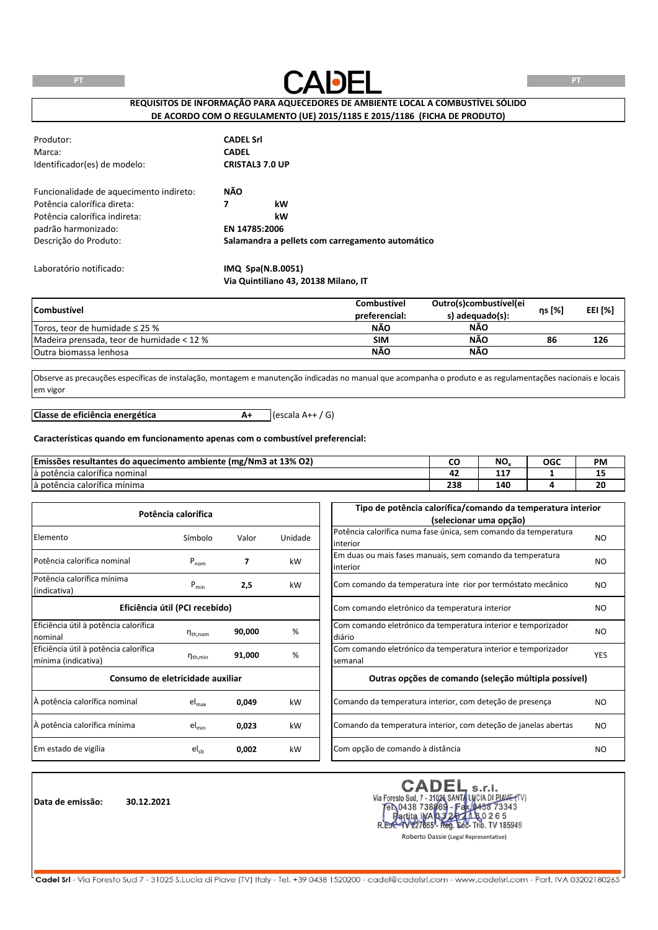

**REQUISITOS DE INFORMAÇÃO PARA AQUECEDORES DE AMBIENTE LOCAL A COMBUSTÍVEL SÓLIDO DE ACORDO COM O REGULAMENTO (UE) 2015/1185 E 2015/1186 (FICHA DE PRODUTO)**

| Produtor:                               | <b>CADEL Srl</b> |                                                  |  |
|-----------------------------------------|------------------|--------------------------------------------------|--|
| Marca:                                  | <b>CADEL</b>     |                                                  |  |
| Identificador(es) de modelo:            |                  | <b>CRISTAL3 7.0 UP</b>                           |  |
| Funcionalidade de aquecimento indireto: | NÃO              |                                                  |  |
| Potência calorífica direta:             | 7                | kW                                               |  |
| Potência calorífica indireta:           |                  | kW                                               |  |
| padrão harmonizado:                     |                  | EN 14785:2006                                    |  |
| Descrição do Produto:                   |                  | Salamandra a pellets com carregamento automático |  |
| Laboratório notificado:                 |                  | IMQ Spa(N.B.0051)                                |  |
|                                         |                  | Via Quintiliano 43, 20138 Milano, IT             |  |

| <b>Combustivel</b>                        | Combustível   | Outro(s)combustível(ei | ns [%] |                |
|-------------------------------------------|---------------|------------------------|--------|----------------|
|                                           | preferencial: | s) adequado(s):        |        | <b>EEI [%]</b> |
| Toros, teor de humidade $\leq$ 25 %       | NÃO           | NÃO                    |        |                |
| Madeira prensada, teor de humidade < 12 % | <b>SIM</b>    | <b>NÃO</b>             | 86     | 126            |
| <b>Outra biomassa lenhosa</b>             | <b>NÃO</b>    | <b>NÃO</b>             |        |                |

Observe as precauções específicas de instalação, montagem e manutenção indicadas no manual que acompanha o produto e as regulamentações nacionais e locais em vigor

**A+** (escala A++ / G) **Classe de eficiência energética**

#### **Características quando em funcionamento apenas com o combustível preferencial:**

| <b>Emissões resultantes</b><br>o aquecimento ambiente (mg/Nm3 at 13% O2)<br>d٥ |            | NO.      | OGC | <b>PM</b> |
|--------------------------------------------------------------------------------|------------|----------|-----|-----------|
| $\overline{\phantom{a}}$<br>là potência calorífica nominal                     | . .        | .<br>. . |     | --        |
| $\overline{\phantom{a}}$<br>la potencia calorífica mínima                      | າວເ<br>25F | 40۔      |     | 20        |

| Potência calorífica                   |                                |        |         | Tipo de potência calorífica/comando da temperatura interior     |            |  |  |
|---------------------------------------|--------------------------------|--------|---------|-----------------------------------------------------------------|------------|--|--|
|                                       |                                |        |         | (selecionar uma opção)                                          |            |  |  |
| Elemento                              |                                |        |         | Potência calorífica numa fase única, sem comando da temperatura |            |  |  |
|                                       | Símbolo                        | Valor  | Unidade | interior                                                        | NO.        |  |  |
| Potência calorífica nominal           |                                | 7      | kW      | Em duas ou mais fases manuais, sem comando da temperatura       | NO.        |  |  |
|                                       | $P_{nom}$                      |        |         | interior                                                        |            |  |  |
| Potência calorífica mínima            |                                |        | kW      | Com comando da temperatura inte rior por termóstato mecânico    | NO.        |  |  |
| (indicativa)                          | $P_{min}$                      | 2,5    |         |                                                                 |            |  |  |
|                                       | Eficiência útil (PCI recebido) |        |         | Com comando eletrónico da temperatura interior                  | NO.        |  |  |
|                                       |                                |        |         |                                                                 |            |  |  |
| Eficiência útil à potência calorífica |                                | 90,000 | %       | Com comando eletrónico da temperatura interior e temporizador   | NO.        |  |  |
| nominal                               | $n_{th,nom}$                   |        |         | diário                                                          |            |  |  |
| Eficiência útil à potência calorífica |                                | 91,000 | %       | Com comando eletrónico da temperatura interior e temporizador   | <b>YES</b> |  |  |
| mínima (indicativa)                   | $\eta_{\text{th,min}}$         |        |         | semanal                                                         |            |  |  |
| Consumo de eletricidade auxiliar      |                                |        |         | Outras opções de comando (seleção múltipla possível)            |            |  |  |
| À potência calorífica nominal         | el <sub>max</sub>              | 0,049  | kW      | Comando da temperatura interior, com deteção de presença        | NO.        |  |  |
| À potência calorífica mínima          | $el_{min}$                     | 0,023  | kW      | Comando da temperatura interior, com deteção de janelas abertas | <b>NO</b>  |  |  |
| Em estado de vigília                  | $el_{sb}$                      | 0,002  | kW      | Com opção de comando à distância                                | NO.        |  |  |

**Data de emissão: 30.12.2021**

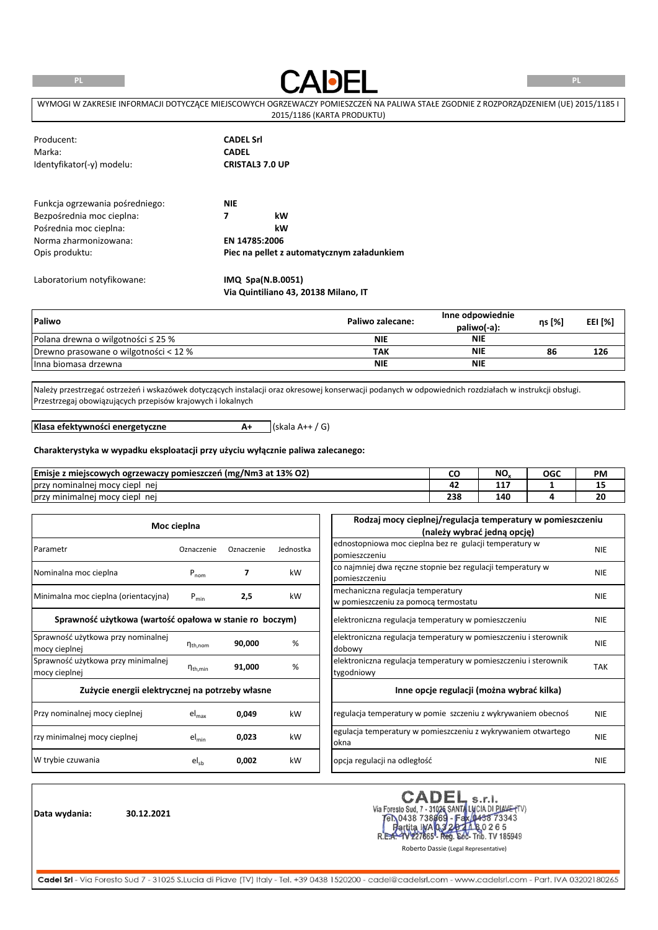**PL**



**PL**

| WYMOGI W ZAKRESIE INFORMACJI DOTYCZACE MIEJSCOWYCH OGRZEWACZY POMIESZCZEŃ NA PALIWA STAŁE ZGODNIE Z ROZPORZADZENIEM (UE) 2015/1185 I |
|--------------------------------------------------------------------------------------------------------------------------------------|
| 2015/1186 (KARTA PRODUKTU)                                                                                                           |

| Producent:                      | <b>CADEL Srl</b>                           |
|---------------------------------|--------------------------------------------|
| Marka:                          | <b>CADEL</b>                               |
| Identyfikator(-y) modelu:       | <b>CRISTAL3 7.0 UP</b>                     |
| Funkcja ogrzewania pośredniego: | <b>NIE</b>                                 |
|                                 |                                            |
| Bezpośrednia moc cieplna:       | 7<br>kW                                    |
| Pośrednia moc cieplna:          | kW                                         |
| Norma zharmonizowana:           | EN 14785:2006                              |
| Opis produktu:                  | Piec na pellet z automatycznym załadunkiem |
| Laboratorium notyfikowane:      | IMQ Spa(N.B.0051)                          |
|                                 | Via Quintiliano 43, 20138 Milano, IT       |

| Paliwo                                  | Paliwo zalecane: | Inne odpowiednie<br>paliwo(-a): | ηs [%] | EEI [%] |
|-----------------------------------------|------------------|---------------------------------|--------|---------|
| Polana drewna o wilgotności $\leq$ 25 % | NIE              | <b>NIE</b>                      |        |         |
| Drewno prasowane o wilgotności < 12 %   | ΤΑΚ              | NIE                             | 86     | 126     |
| Ilnna biomasa drzewna                   | NIE              | <b>NIE</b>                      |        |         |

Należy przestrzegać ostrzeżeń i wskazówek dotyczących instalacji oraz okresowej konserwacji podanych w odpowiednich rozdziałach w instrukcji obsługi. Przestrzegaj obowiązujących przepisów krajowych i lokalnych

**A+** (skala A++ / G)

**Klasa efektywności energetyczne**

# **Charakterystyka w wypadku eksploatacji przy użyciu wyłącznie paliwa zalecanego:**

| Emisje<br>`z miejscowych ogrzewaczy pomieszczeń (mg/Nm3 at 13% O2) | ◡           | NO.     | OGC | <b>PM</b> |
|--------------------------------------------------------------------|-------------|---------|-----|-----------|
| v nominalnej mocy ciepl<br>przy<br>ne                              | . .         | --<br>. |     | --        |
| nei<br>Jprzy minimalnej mocy ciepl                                 | 330<br>-436 | 140     |     | 20        |

|                                                         | Moc cieplna            |            |           | Rodzaj mocy cieplnej/regulacja temperatury w pomieszczeniu      |            |
|---------------------------------------------------------|------------------------|------------|-----------|-----------------------------------------------------------------|------------|
|                                                         |                        |            |           | (należy wybrać jedną opcję)                                     |            |
| Parametr                                                | Oznaczenie             | Oznaczenie | Jednostka | ednostopniowa moc cieplna bez re gulacji temperatury w          | <b>NIE</b> |
|                                                         |                        |            |           | pomieszczeniu                                                   |            |
| Nominalna moc cieplna                                   | $P_{nom}$              | 7          | kW        | co najmniej dwa ręczne stopnie bez regulacji temperatury w      | <b>NIE</b> |
|                                                         |                        |            |           | pomieszczeniu                                                   |            |
| Minimalna moc cieplna (orientacyjna)                    |                        |            |           | mechaniczna regulacja temperatury                               |            |
|                                                         | $P_{min}$              | 2,5        | kW        | w pomieszczeniu za pomocą termostatu                            | <b>NIE</b> |
| Sprawność użytkowa (wartość opałowa w stanie ro boczym) |                        |            |           | elektroniczna regulacja temperatury w pomieszczeniu             | <b>NIE</b> |
| Sprawność użytkowa przy nominalnej                      |                        |            |           | elektroniczna regulacja temperatury w pomieszczeniu i sterownik | <b>NIE</b> |
| mocy cieplnej                                           | $n_{\text{th}$ , nom   | 90,000     | %         | dobowy                                                          |            |
| Sprawność użytkowa przy minimalnej                      |                        | 91,000     | %         | elektroniczna regulacja temperatury w pomieszczeniu i sterownik | <b>TAK</b> |
| mocy cieplnej                                           | $\eta_{\text{th,min}}$ |            |           | tygodniowy                                                      |            |
| Zużycie energii elektrycznej na potrzeby własne         |                        |            |           | Inne opcje regulacji (można wybrać kilka)                       |            |
| Przy nominalnej mocy cieplnej                           | $el_{max}$             | 0,049      | kW        | regulacja temperatury w pomie szczeniu z wykrywaniem obecnoś    | <b>NIE</b> |
| rzy minimalnej mocy cieplnej                            | $el_{min}$             | 0,023      | kW        | egulacja temperatury w pomieszczeniu z wykrywaniem otwartego    | <b>NIE</b> |
|                                                         |                        |            |           | okna                                                            |            |
| W trybie czuwania                                       | $el_{sb}$              | 0,002      | kW        | opcja regulacji na odległość                                    | <b>NIE</b> |

**Data wydania: 30.12.2021**

CADEL S.r.I.<br>Via Foresto Sud, 7 - 31026 SANTA LUCIA DI PIAVE (TV)<br>FR.0438 738669 - Fax (0438 73343<br>R.E.G. W227665 - Reg. 602- Trib. TV 185949<br>R.E.G. W227665 - Reg. 602- Trib. TV 185949<br>Roberto Dassie (Legal Representative)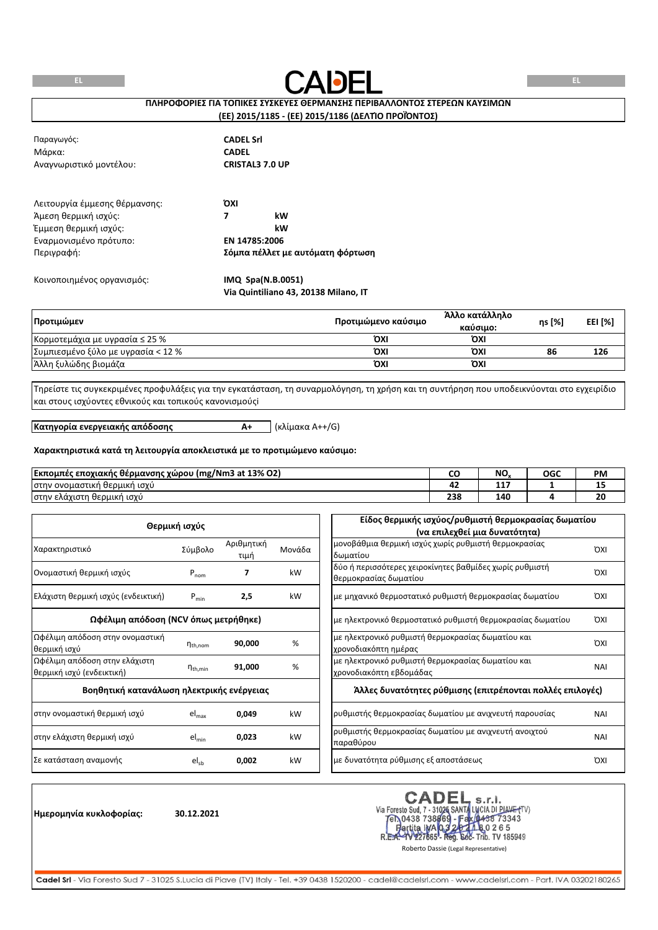

# **ΠΛΗΡΟΦΟΡΙΕΣ ΓΙΑ ΤΟΠΙΚΕΣ ΣΥΣΚΕΥΕΣ ΘΕΡΜΑΝΣΗΣ ΠΕΡΙΒΑΛΛΟΝΤΟΣ ΣΤΕΡΕΩΝ ΚΑΥΣΙΜΩΝ**

### **(ΕΕ) 2015/1185 - (ΕΕ) 2015/1186 (ΔΕΛΤΊΟ ΠΡΟΪΌΝΤΟΣ)**

| Παραγωγός:<br>Μάρκα:<br>Αναγνωριστικό μοντέλου: | <b>CADEL Srl</b><br><b>CADEL</b><br><b>CRISTAL3 7.0 UP</b> |
|-------------------------------------------------|------------------------------------------------------------|
| Λειτουργία έμμεσης θέρμανσης:                   | ΌΧΙ                                                        |
| Άμεση θερμική ισχύς:                            | kW<br>7                                                    |
| Έμμεση θερμική ισχύς:                           | kW                                                         |
| Εναρμονισμένο πρότυπο:                          | EN 14785:2006                                              |
| Περιγραφή:                                      | Σόμπα πέλλετ με αυτόματη φόρτωση                           |
| Κοινοποιημένος οργανισμός:                      | IMQ Spa(N.B.0051)                                          |

**Via Quintiliano 43, 20138 Milano, IT**

| Προτιμώμεν                          | Προτιμώμενο καύσιμο | Άλλο κατάλληλο<br>καύσιμο: | ηs [%] | EEI [%] |
|-------------------------------------|---------------------|----------------------------|--------|---------|
| Κορμοτεμάχια με υγρασία $\leq 25\%$ | ΌΧΙ                 | ΌΧΙ                        |        |         |
| Συμπιεσμένο ξύλο με υγρασία < 12 %  | ΌΧΙ                 | ΌΧΙ                        | 86     | 126     |
| Άλλη ξυλώδης βιομάζα                | ΌΧΙ                 | ΌΧΙ                        |        |         |

Τηρείστε τις συγκεκριμένες προφυλάξεις για την εγκατάσταση, τη συναρμολόγηση, τη χρήση και τη συντήρηση που υποδεικνύονται στο εγχειρίδιο και στους ισχύοντες εθνικούς και τοπικούς κανονισμούςi

**Κατηγορία ενεργειακής απόδοσης**

**A+** (κλίμακα A++/G)

#### **Χαρακτηριστικά κατά τη λειτουργία αποκλειστικά με το προτιμώμενο καύσιμο:**

| Εκπομπές<br>mg/Nm3 at 13% O2) (mg<br>ς εποχιακής θέρμανσης χώρου ∤<br>. . |            | NO.       | OGC | <b>PM</b> |
|---------------------------------------------------------------------------|------------|-----------|-----|-----------|
| <sup>,</sup> ονομαστική<br>1 ισχυ<br>ή θερμική<br>στην                    | --         | - -<br>-- |     | --        |
| ι θερμική ισχύ<br> στην ελάχιστη                                          | 330<br>236 | 140       |     | 20        |

|                                                            | Θερμική ισχύς       |                    |        | Είδος θερμικής ισχύος/ρυθμιστή θερμοκρασίας δωματίου                             |            |
|------------------------------------------------------------|---------------------|--------------------|--------|----------------------------------------------------------------------------------|------------|
|                                                            |                     |                    |        | (να επιλεχθεί μια δυνατότητα)                                                    |            |
| Χαρακτηριστικό                                             | Σύμβολο             | Αριθμητική<br>τιμή | Μονάδα | μονοβάθμια θερμική ισχύς χωρίς ρυθμιστή θερμοκρασίας<br>δωματίου                 | <b>OXI</b> |
| Ονομαστική θερμική ισχύς                                   | $P_{nom}$           |                    | kW     | δύο ή περισσότερες χειροκίνητες βαθμίδες χωρίς ρυθμιστή<br>θερμοκρασίας δωματίου | <b>OXI</b> |
| Ελάχιστη θερμική ισχύς (ενδεικτική)                        | $P_{min}$           | 2,5                | kW     | με μηχανικό θερμοστατικό ρυθμιστή θερμοκρασίας δωματίου                          | <b>OXI</b> |
| Ωφέλιμη απόδοση (NCV όπως μετρήθηκε)                       |                     |                    |        | με ηλεκτρονικό θερμοστατικό ρυθμιστή θερμοκρασίας δωματίου                       | <b>OXI</b> |
| Ωφέλιμη απόδοση στην ονομαστική<br>θερμική ισχύ            | $n_{th,nom}$        | 90,000             | %      | με ηλεκτρονικό ρυθμιστή θερμοκρασίας δωματίου και<br>χρονοδιακόπτη ημέρας        | <b>OXI</b> |
| Ωφέλιμη απόδοση στην ελάχιστη<br>θερμική ισχύ (ενδεικτική) | $n_{\text{th,min}}$ | 91,000             | %      | με ηλεκτρονικό ρυθμιστή θερμοκρασίας δωματίου και<br>χρονοδιακόπτη εβδομάδας     | <b>NAI</b> |
| Βοηθητική κατανάλωση ηλεκτρικής ενέργειας                  |                     |                    |        | Άλλες δυνατότητες ρύθμισης (επιτρέπονται πολλές επιλογές)                        |            |
| στην ονομαστική θερμική ισχύ                               | $el_{max}$          | 0,049              | kW     | ρυθμιστής θερμοκρασίας δωματίου με ανιχνευτή παρουσίας                           | <b>NAI</b> |
| στην ελάχιστη θερμική ισχύ                                 | $el_{min}$          | 0,023              | kW     | ρυθμιστής θερμοκρασίας δωματίου με ανιχνευτή ανοιχτού<br>παραθύρου               | <b>NAI</b> |
| Σε κατάσταση αναμονής                                      | $el_{sb}$           | 0,002              | kW     | με δυνατότητα ρύθμισης εξ αποστάσεως                                             | <b>OXI</b> |

**Ημερομηνία κυκλοφορίας: 30.12.2021**

CADEL S.r.I.<br>Via Foresto Sud, 7 - 31026 SANTA LUCIA DI PIAVE (TV)<br>FR.0438 738669 - Fax (0438 73343<br>R.E.A.- 1V227665 - Reg. 602- Trib. TV 185949<br>Roberto Dassie (Legal Representative) **CADEL**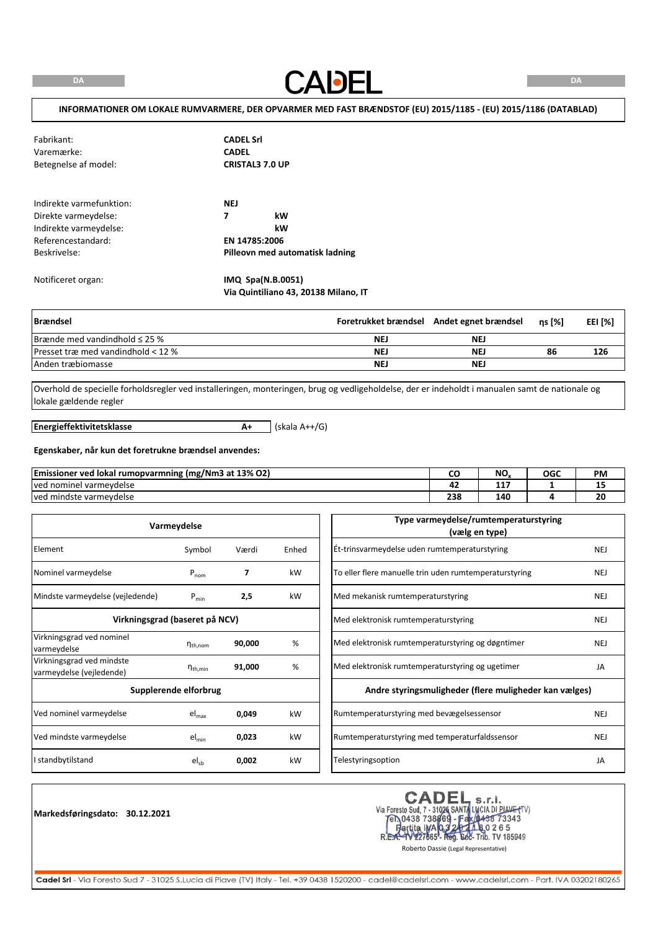**CADEL** 

# **INFORMATIONER OM LOKALE RUMVARMERE, DER OPVARMER MED FAST BRÆNDSTOF (EU) 2015/1185 - (EU) 2015/1186 (DATABLAD)**

| Fabrikant:<br>Varemærke:<br>Betegnelse af model:                                                                 | <b>CADEL Srl</b><br><b>CADEL</b><br><b>CRISTAL3 7.0 UP</b>                      |
|------------------------------------------------------------------------------------------------------------------|---------------------------------------------------------------------------------|
| Indirekte varmefunktion:<br>Direkte varmeydelse:<br>Indirekte varmeydelse:<br>Referencestandard:<br>Beskrivelse: | <b>NEJ</b><br>7<br>kW<br>kW<br>EN 14785:2006<br>Pilleovn med automatisk ladning |
| Notificeret organ:                                                                                               | IMQ Spa(N.B.0051)                                                               |

| <b>Brændsel</b>                    |            | Foretrukket brændsel Andet egnet brændsel | ns [%] | EEI [%] |
|------------------------------------|------------|-------------------------------------------|--------|---------|
| Brænde med vandindhold $\leq$ 25 % | <b>NEJ</b> | NE.                                       |        |         |
| Presset træ med vandindhold < 12 % | <b>NEJ</b> | NE.                                       | 86     | 126     |
| Anden træbiomasse                  | <b>NEJ</b> | <b>NEJ</b>                                |        |         |

Overhold de specielle forholdsregler ved installeringen, monteringen, brug og vedligeholdelse, der er indeholdt i manualen samt de nationale og lokale gældende regler

**Energieffektivitetsklasse**

**A+** (skala A++/G)

**Via Quintiliano 43, 20138 Milano, IT**

#### **Egenskaber, når kun det foretrukne brændsel anvendes:**

| (mg/Nm3 at 13% O2)<br><b>Emissioner ved</b><br>J lokal rumopvarmning<br> |            | <b>N<sub>C</sub></b><br>טיו | OGC | <b>PM</b> |
|--------------------------------------------------------------------------|------------|-----------------------------|-----|-----------|
| l varmevdelse<br>Tved nominel                                            |            | ---<br>.                    |     | --        |
| ved mindste varmeydelse                                                  | 330<br>250 | 140                         |     | ZU        |

| Varmeydelse                                           |                                |        |       |
|-------------------------------------------------------|--------------------------------|--------|-------|
| Element                                               | Symbol                         | Værdi  | Enhed |
| Nominel varmeydelse                                   | $P_{nom}$                      | 7      | kW    |
| Mindste varmeydelse (vejledende)                      | $P_{min}$                      | 2,5    | kW    |
|                                                       | Virkningsgrad (baseret på NCV) |        |       |
| Virkningsgrad ved nominel<br>varmeydelse              | $n_{\text{th}$ , nom           | 90,000 | %     |
| Virkningsgrad ved mindste<br>varmeydelse (vejledende) | $\eta_{\text{th,min}}$         | 91,000 | %     |
|                                                       | Supplerende elforbrug          |        |       |
| Ved nominel varmeydelse                               | $el_{max}$                     | 0,049  | kW    |
| Ved mindste varmeydelse                               | $el_{min}$                     | 0,023  | kW    |
| I standbytilstand                                     | $el_{sb}$                      | 0,002  | kW    |

**Markedsføringsdato: 30.12.2021**

CADEL S.r.I.<br>Via Foresto Sud, 7 - 31026 SANTA LUCIA DI PIAVE (TV)<br>FR.0438 738669 - Fax (0438 73343<br>R.E.A.- 1V227665 - Reg. 602- Trib. TV 185949<br>Roberto Dassie (Legal Representative)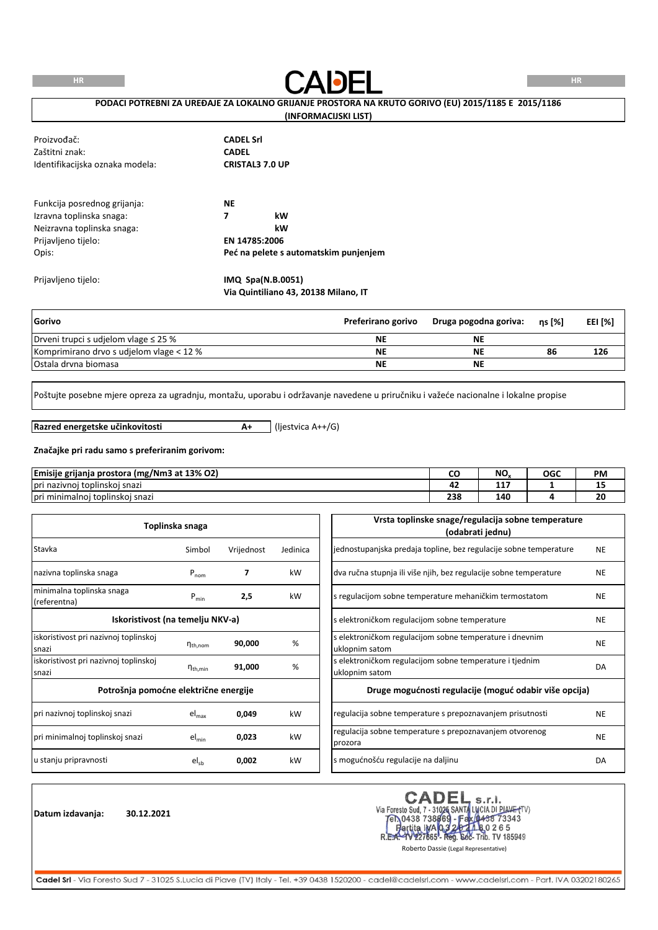**HR**



### **PODACI POTREBNI ZA UREĐAJE ZA LOKALNO GRIJANJE PROSTORA NA KRUTO GORIVO (EU) 2015/1185 E 2015/1186**

#### **(INFORMACIJSKI LIST)**

| Proizvođač:<br>Zaštitni znak:<br>Identifikacijska oznaka modela:                                              | <b>CADEL Srl</b><br><b>CADEL</b><br><b>CRISTAL3 7.0 UP</b>                                         |
|---------------------------------------------------------------------------------------------------------------|----------------------------------------------------------------------------------------------------|
| Funkcija posrednog grijanja:<br>Izravna toplinska snaga:<br>Neizravna toplinska snaga:<br>Prijavljeno tijelo: | <b>NE</b><br>kW<br>7<br>kW<br>EN 14785:2006                                                        |
| Opis:<br>Prijavljeno tijelo:                                                                                  | Peć na pelete s automatskim punjenjem<br>IMQ Spa(N.B.0051)<br>Via Quintiliano 43, 20138 Milano, IT |

| <b>Gorivo</b>                             | Preferirano gorivo | Druga pogodna goriva: | ns [%] | <b>EEI [%]</b> |
|-------------------------------------------|--------------------|-----------------------|--------|----------------|
| Drveni trupci s udjelom vlage $\leq$ 25 % | <b>NE</b>          | ΝE                    |        |                |
| Komprimirano drvo s udjelom vlage < 12 %  | <b>NE</b>          | NE                    | 86     | 126            |
| lOstala drvna biomasa                     | <b>NE</b>          | ΝE                    |        |                |

Poštujte posebne mjere opreza za ugradnju, montažu, uporabu i održavanje navedene u priručniku i važeće nacionalne i lokalne propise

**Razred energetske učinkovitosti**

**A+** (ljestvica A++/G)

# **Značajke pri radu samo s preferiranim gorivom:**

| Emisije grijanja prostora<br>mg/Nm3 at 13% O2) ا | ີ          | NO. | OGC | <b>PM</b> |
|--------------------------------------------------|------------|-----|-----|-----------|
| <br>i toplinskoj snazi<br>lpri nazivnoj          |            | .   |     | --        |
| Tpri minimalnoi toplinskoi snazi                 | 330<br>25F | 140 |     | 20        |

|                                                | Toplinska snaga |            |          | Vrsta toplinske snage/regulacija sobne temperature<br>(odabrati jednu)    |           |
|------------------------------------------------|-----------------|------------|----------|---------------------------------------------------------------------------|-----------|
| Stavka                                         | Simbol          | Vrijednost | Jedinica | jednostupanjska predaja topline, bez regulacije sobne temperature         | <b>NE</b> |
| nazivna toplinska snaga                        | $P_{nom}$       | 7          | kW       | dva ručna stupnja ili više njih, bez regulacije sobne temperature         | <b>NE</b> |
| minimalna toplinska snaga<br>(referentna)      | $P_{min}$       | 2,5        | kW       | s regulacijom sobne temperature mehaničkim termostatom                    | <b>NE</b> |
| Iskoristivost (na temelju NKV-a)               |                 |            |          | s elektroničkom regulacijom sobne temperature                             | <b>NE</b> |
| iskoristivost pri nazivnoj toplinskoj<br>snazi | $n_{th,nom}$    | 90,000     | %        | s elektroničkom regulacijom sobne temperature i dnevnim<br>uklopnim satom | <b>NE</b> |
| iskoristivost pri nazivnoj toplinskoj<br>snazi | $n_{th,min}$    | 91,000     | %        | s elektroničkom regulacijom sobne temperature i tjednim<br>uklopnim satom | DA        |
| Potrošnja pomoćne električne energije          |                 |            |          | Druge mogućnosti regulacije (moguć odabir više opcija)                    |           |
| pri nazivnoj toplinskoj snazi                  | $el_{max}$      | 0,049      | kW       | regulacija sobne temperature s prepoznavanjem prisutnosti                 | <b>NE</b> |
| pri minimalnoj toplinskoj snazi                | $el_{min}$      | 0,023      | kW       | regulacija sobne temperature s prepoznavanjem otvorenog<br>prozora        | <b>NE</b> |
| u stanju pripravnosti                          | $el_{ch}$       | 0,002      | kW       | s mogućnošću regulacije na daljinu                                        | DA        |

**Datum izdavanja: 30.12.2021**

CADEL S.r.I.<br>Via Foresto Sud, 7 - 31026 SANTA LUCIA DI PIAVE (TV)<br>FR.0438 738669 - Fax (0438 73343<br>R.E.A.- 1V227665 - Reg. 602- Trib. TV 185949<br>Roberto Dassie (Legal Representative) CADEL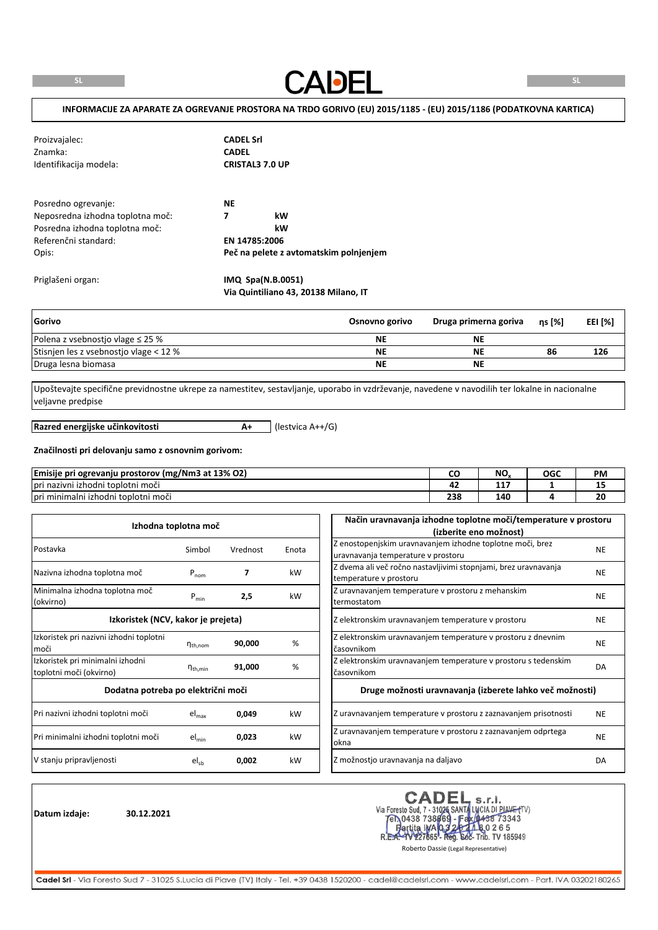**CADEL** 

### **INFORMACIJE ZA APARATE ZA OGREVANJE PROSTORA NA TRDO GORIVO (EU) 2015/1185 - (EU) 2015/1186 (PODATKOVNA KARTICA)**

| Proizvajalec:<br>Znamka:<br>Identifikacija modela: | <b>CADEL Srl</b><br><b>CADEL</b><br><b>CRISTAL3 7.0 UP</b> |
|----------------------------------------------------|------------------------------------------------------------|
| Posredno ogrevanje:                                | <b>NE</b>                                                  |
| Neposredna izhodna toplotna moč:                   | kW<br>7                                                    |
| Posredna izhodna toplotna moč:                     | kW                                                         |
| Referenčni standard:                               | EN 14785:2006                                              |
| Opis:                                              | Peč na pelete z avtomatskim polnjenjem                     |
| Priglašeni organ:                                  | IMQ Spa(N.B.0051)                                          |

| Gorivo                                 | Osnovno gorivo | Druga primerna goriva | $ns$ [%] | EEI [%] |
|----------------------------------------|----------------|-----------------------|----------|---------|
| Polena z vsebnostjo vlage $\leq$ 25 %  | <b>NE</b>      | NE                    |          |         |
| Stisnien les z vsebnostjo vlage < 12 % | <b>NE</b>      | NE                    | 86       | 126     |
| Druga lesna biomasa                    | <b>NE</b>      | <b>NE</b>             |          |         |

Upoštevajte specifične previdnostne ukrepe za namestitev, sestavljanje, uporabo in vzdrževanje, navedene v navodilih ter lokalne in nacionalne veljavne predpise

**Razred energijske učinkovitosti**

**A+** (lestvica A++/G)

**Via Quintiliano 43, 20138 Milano, IT**

# **Značilnosti pri delovanju samo z osnovnim gorivom:**

| <b>Emisije pri</b><br><b>Tri ogrevanju prostorov (mg/Nm3 at 13% O2)</b>        |            | <b>N<sub>C</sub></b><br>IV. | OGC | <b>PM</b>                      |
|--------------------------------------------------------------------------------|------------|-----------------------------|-----|--------------------------------|
| $\mathbf{v}$<br>$\cdot$ $\cdot$<br>i izhodni toplotni moči<br>nazivni »<br>pri |            | $-1$<br><b>AA</b>           |     | --                             |
| $\mathbf{v}$ .<br>.<br>moči<br>Tori minimalni izhodni toplotni                 | າາດ<br>250 | 140                         |     | $\overline{\phantom{a}}$<br>zu |

|                                                             | Izhodna toplotna moč |          |       | Način uravnavanja izhodne toplotne moči/temperature v prostoru<br>(izberite eno možnost)        |           |
|-------------------------------------------------------------|----------------------|----------|-------|-------------------------------------------------------------------------------------------------|-----------|
| Postavka                                                    | Simbol               | Vrednost | Enota | Z enostopenjskim uravnavanjem izhodne toplotne moči, brez<br>uravnavanja temperature v prostoru | <b>NE</b> |
| Nazivna izhodna toplotna moč                                | $P_{nom}$            | 7        | kW    | Z dvema ali več ročno nastavljivimi stopnjami, brez uravnavanja<br>temperature v prostoru       | <b>NE</b> |
| Minimalna izhodna toplotna moč<br>(okvirno)                 | $P_{min}$            | 2,5      | kW    | Z uravnavanjem temperature v prostoru z mehanskim<br>termostatom                                | <b>NE</b> |
| Izkoristek (NCV, kakor je prejeta)                          |                      |          |       | Z elektronskim uravnavanjem temperature v prostoru                                              | <b>NE</b> |
| Izkoristek pri nazivni izhodni toplotni<br>moči             | $n_{th,nom}$         | 90,000   | %     | Z elektronskim uravnavanjem temperature v prostoru z dnevnim<br>časovnikom                      | <b>NE</b> |
| Izkoristek pri minimalni izhodni<br>toplotni moči (okvirno) | $n_{th,min}$         | 91,000   | %     | Z elektronskim uravnavanjem temperature v prostoru s tedenskim<br>časovnikom                    | DA        |
| Dodatna potreba po električni moči                          |                      |          |       | Druge možnosti uravnavanja (izberete lahko več možnosti)                                        |           |
| Pri nazivni izhodni toplotni moči                           | $el_{\text{max}}$    | 0,049    | kW    | Z uravnavanjem temperature v prostoru z zaznavanjem prisotnosti                                 | <b>NE</b> |
| Pri minimalni izhodni toplotni moči                         | $el_{min}$           | 0,023    | kW    | Z uravnavanjem temperature v prostoru z zaznavanjem odprtega<br>okna                            | <b>NE</b> |
| V stanju pripravljenosti                                    | $el_{sb}$            | 0,002    | kW    | Z možnostjo uravnavanja na daljavo                                                              | DA        |

**Datum izdaje: 30.12.2021**

CADEL S.r.I.<br>Via Foresto Sud, 7 - 31026 SANTA LUCIA DI PIAVE (TV)<br>FR.0438 738669 - Fax (0438 73343<br>R.E.A.- 1V227665 - Reg. 602- Trib. TV 185949<br>Roberto Dassie (Legal Representative) **CADEL**